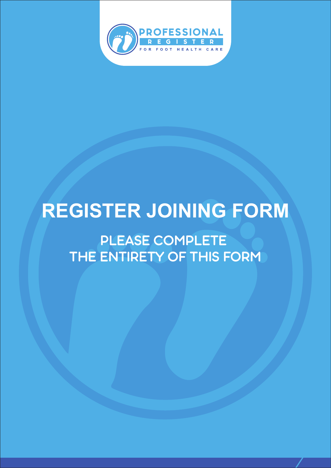

# **REGISTER JOINING FORM**

PLEASE COMPLETE THE ENTIRETY OF THIS FORM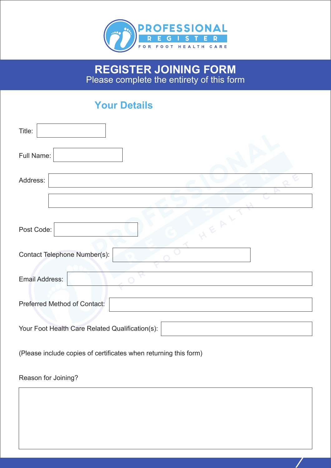

### **REGISTER JOINING FORM** Please complete the entirety of this form

## **Your Details**

| Title:                                          |  |  |
|-------------------------------------------------|--|--|
| Full Name:                                      |  |  |
| Address:                                        |  |  |
|                                                 |  |  |
| Post Code:<br>Contact Telephone Number(s):      |  |  |
|                                                 |  |  |
| <b>Email Address:</b>                           |  |  |
| Preferred Method of Contact:                    |  |  |
| Your Foot Health Care Related Qualification(s): |  |  |

(Please include copies of certificates when returning this form)

#### Reason for Joining?